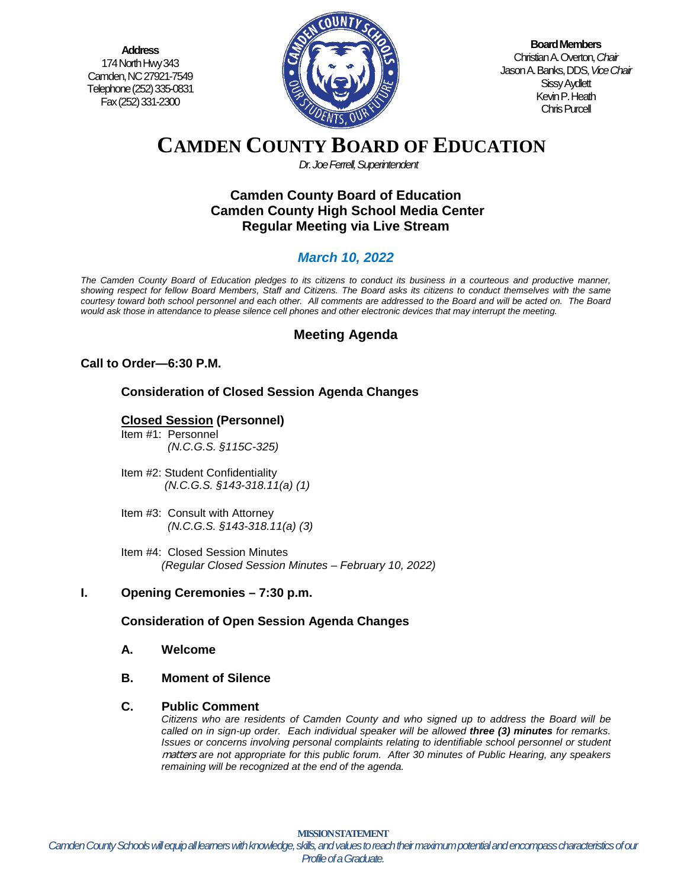**Address** 174 North Hwy 343 Camden, NC 27921-7549 Telephone (252) 335-0831 Fax (252) 331-2300



**Board Members** Christian A. Overton, *Chair* Jason A. Banks, DDS,*Vice Chair* Sissy Aydlett Kevin P. Heath Chris Purcell

# **CAMDEN COUNTY BOARD OF EDUCATION**

*Dr. Joe Ferrell, Superintendent*

# **Camden County Board of Education Camden County High School Media Center Regular Meeting via Live Stream**

# *March 10, 2022*

*The Camden County Board of Education pledges to its citizens to conduct its business in a courteous and productive manner, showing respect for fellow Board Members, Staff and Citizens. The Board asks its citizens to conduct themselves with the same courtesy toward both school personnel and each other. All comments are addressed to the Board and will be acted on. The Board would ask those in attendance to please silence cell phones and other electronic devices that may interrupt the meeting.*

# **Meeting Agenda**

# **Call to Order—6:30 P.M.**

# **Consideration of Closed Session Agenda Changes**

# **Closed Session (Personnel)**

- Item #1: Personnel *(N.C.G.S. §115C-325)*
- Item #2: Student Confidentiality *(N.C.G.S. §143-318.11(a) (1)*
- Item #3: Consult with Attorney  *(N.C.G.S. §143-318.11(a) (3)*
- Item #4: Closed Session Minutes *(Regular Closed Session Minutes – February 10, 2022)*

# **I. Opening Ceremonies – 7:30 p.m.**

# **Consideration of Open Session Agenda Changes**

- **A. Welcome**
- **B. Moment of Silence**

#### **C. Public Comment**

*Citizens who are residents of Camden County and who signed up to address the Board will be called on in sign-up order. Each individual speaker will be allowed three (3) minutes for remarks. Issues or concerns involving personal complaints relating to identifiable school personnel or student* matters *are not appropriate for this public forum. After 30 minutes of Public Hearing, any speakers remaining will be recognized at the end of the agenda.*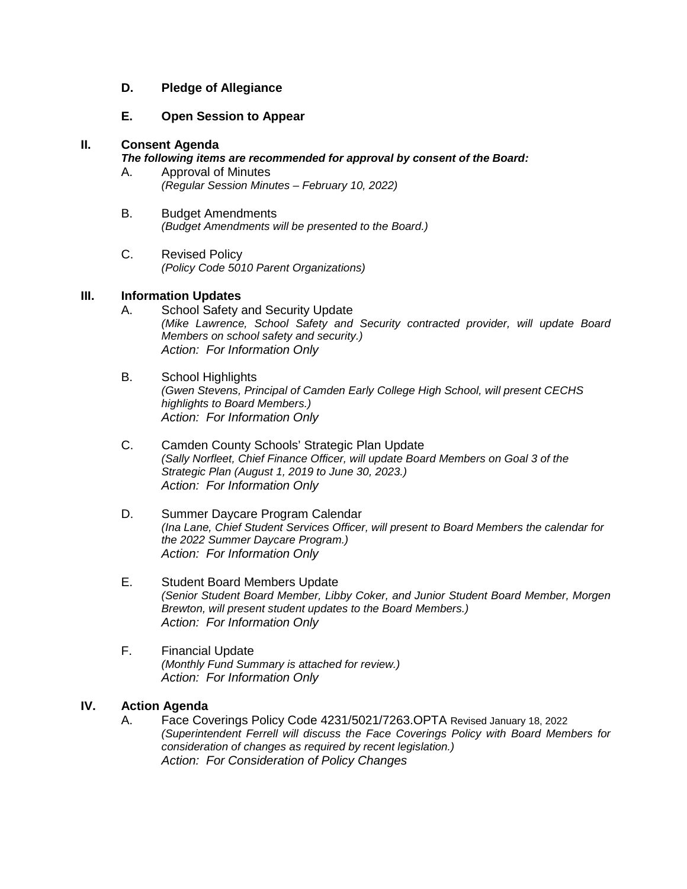# **D. Pledge of Allegiance**

#### **E. Open Session to Appear**

#### **II. Consent Agenda**

#### *The following items are recommended for approval by consent of the Board:*

- A. Approval of Minutes *(Regular Session Minutes – February 10, 2022)*
- B. Budget Amendments *(Budget Amendments will be presented to the Board.)*
- C. Revised Policy *(Policy Code 5010 Parent Organizations)*

# **III. Information Updates**

- A. School Safety and Security Update *(Mike Lawrence, School Safety and Security contracted provider, will update Board Members on school safety and security.) Action: For Information Only*
- B. School Highlights *(Gwen Stevens, Principal of Camden Early College High School, will present CECHS highlights to Board Members.) Action: For Information Only*
- C. Camden County Schools' Strategic Plan Update *(Sally Norfleet, Chief Finance Officer, will update Board Members on Goal 3 of the Strategic Plan (August 1, 2019 to June 30, 2023.) Action: For Information Only*
- D. Summer Daycare Program Calendar *(Ina Lane, Chief Student Services Officer, will present to Board Members the calendar for the 2022 Summer Daycare Program.) Action: For Information Only*
- E. Student Board Members Update *(Senior Student Board Member, Libby Coker, and Junior Student Board Member, Morgen Brewton, will present student updates to the Board Members.) Action: For Information Only*
- F. Financial Update *(Monthly Fund Summary is attached for review.) Action: For Information Only*

# **IV. Action Agenda**

A. Face Coverings Policy Code 4231/5021/7263.OPTA Revised January 18, 2022 *(Superintendent Ferrell will discuss the Face Coverings Policy with Board Members for consideration of changes as required by recent legislation.) Action: For Consideration of Policy Changes*